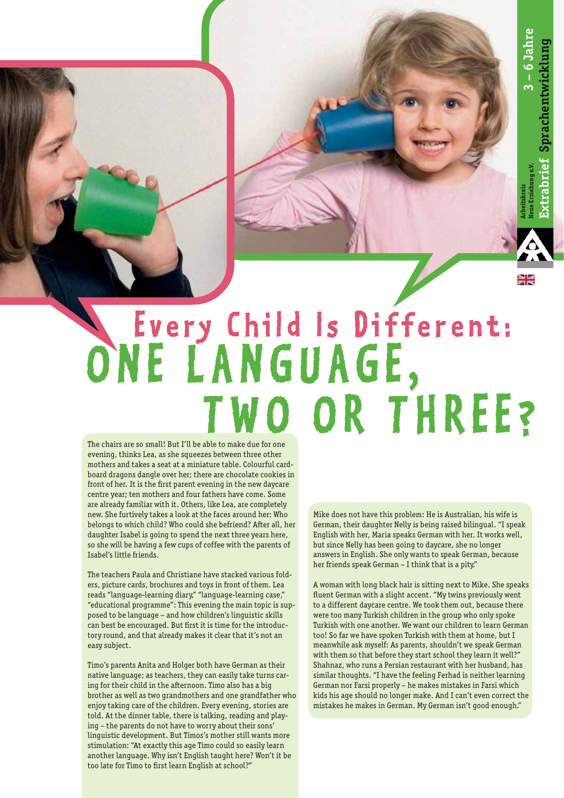**Arbeitskreis Neue Erziehung e.V.**

## Every Child Is Different: ONE LANGUAGE,  **T wo o r T h ree?**

The chairs are so small! But I'll be able to make due for one evening, thinks Lea, as she squeezes between three other mothers and takes a seat at a miniature table. Colourful cardboard dragons dangle over her; there are chocolate cookies in front of her. It is the first parent evening in the new daycare centre year; ten mothers and four fathers have come. Some are already familiar with it. Others, like Lea, are completely new. She furtively takes a look at the faces around her: Who belongs to which child? Who could she befriend? After all, her daughter Isabel is going to spend the next three years here, so she will be having a few cups of coffee with the parents of Isabel's little friends.

The teachers Paula and Christiane have stacked various folders, picture cards, brochures and toys in front of them. Lea reads "language-learning diary," "language-learning case," "educational programme": This evening the main topic is supposed to be language – and how children's linguistic skills can best be encouraged. But first it is time for the introductory round, and that already makes it clear that it's not an easy subject.

Timo's parents Anita and Holger both have German as their native language; as teachers, they can easily take turns caring for their child in the afternoon. Timo also has a big brother as well as two grandmothers and one grandfather who enjoy taking care of the children. Every evening, stories are told. At the dinner table, there is talking, reading and playing – the parents do not have to worry about their sons' linguistic development. But Timos's mother still wants more stimulation: "At exactly this age Timo could so easily learn another language. Why isn't English taught here? Won't it be too late for Timo to first learn English at school?"

Mike does not have this problem: He is Australian, his wife is German, their daughter Nelly is being raised bilingual. "I speak English with her, Maria speaks German with her. It works well, but since Nelly has been going to daycare, she no longer answers in English. She only wants to speak German, because her friends speak German – I think that is a pity."

A woman with long black hair is sitting next to Mike. She speaks fluent German with a slight accent. "My twins previously went to a different daycare centre. We took them out, because there were too many Turkish children in the group who only spoke Turkish with one another. We want our children to learn German too! So far we have spoken Turkish with them at home, but I meanwhile ask myself: As parents, shouldn't we speak German with them so that before they start school they learn it well?" Shahnaz, who runs a Persian restaurant with her husband, has similar thoughts. "I have the feeling Ferhad is neither learning German nor Farsi properly – he makes mistakes in Farsi which kids his age should no longer make. And I can't even correct the mistakes he makes in German. My German isn't good enough."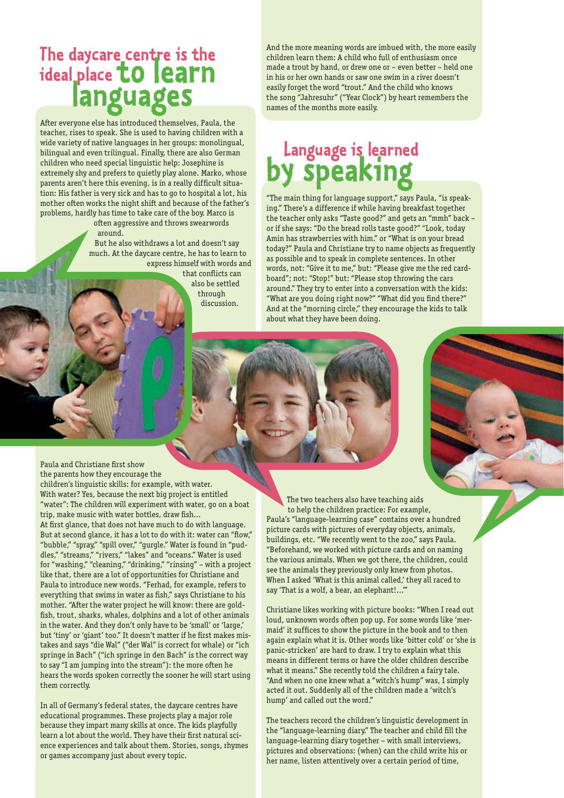### **The daycare centre is the ideal place to learn languages**

After everyone else has introduced themselves, Paula, the teacher, rises to speak. She is used to having children with a wide variety of native languages in her groups: monolingual, bilingual and even trilingual. Finally, there are also German children who need special linguistic help: Josephine is extremely shy and prefers to quietly play alone. Marko, whose parents aren't here this evening, is in a really difficult situation: His father is very sick and has to go to hospital a lot, his mother often works the night shift and because of the father's problems, hardly has time to take care of the boy. Marco is often aggressive and throws swearwords

#### around.

But he also withdraws a lot and doesn't say much. At the daycare centre, he has to learn to express himself with words and

that conflicts can also be settled through discussion.

And the more meaning words are imbued with, the more easily children learn them: A child who full of enthusiasm once made a trout by hand, or drew one or – even better – held one in his or her own hands or saw one swim in a river doesn't easily forget the word "trout." And the child who knows the song "Jahresuhr" ("Year Clock") by heart remembers the names of the months more easily.

#### **Language is learned by speaking**

"The main thing for language support," says Paula, "is speaking." There's a difference if while having breakfast together the teacher only asks "Taste good?" and gets an "mmh" back – or if she says: "Do the bread rolls taste good?" "Look, today Amin has strawberries with him." or "What is on your bread today?" Paula and Christiane try to name objects as frequently as possible and to speak in complete sentences. In other words, not: "Give it to me," but: "Please give me the red cardboard"; not: "Stop!" but: "Please stop throwing the cars around." They try to enter into a conversation with the kids: "What are you doing right now?" "What did you find there?" And at the "morning circle," they encourage the kids to talk about what they have been doing.

Paula and Christiane first show the parents how they encourage the children's linguistic skills: for example, with water. With water? Yes, because the next big project is entitled "water": The children will experiment with water, go on a boat trip, make music with water bottles, draw fish… At first glance, that does not have much to do with language. But at second glance, it has a lot to do with it: water can "flow," "bubble," "spray," "spill over," "gurgle." Water is found in "puddles," "streams," "rivers," "lakes" and "oceans." Water is used for "washing," "cleaning," "drinking," "rinsing" – with a project like that, there are a lot of opportunities for Christiane and Paula to introduce new words. "Ferhad, for example, refers to everything that swims in water as fish," says Christiane to his mother. "After the water project he will know: there are goldfish, trout, sharks, whales, dolphins and a lot of other animals in the water. And they don't only have to be 'small' or 'large,' but 'tiny' or 'giant' too." It doesn't matter if he first makes mistakes and says "die Wal" ("der Wal" is correct for whale) or "ich springe in Bach" ("ich springe in den Bach" is the correct way to say "I am jumping into the stream"): the more often he hears the words spoken correctly the sooner he will start using them correctly.

In all of Germany's federal states, the daycare centres have educational programmes. These projects play a major role because they impart many skills at once. The kids playfully learn a lot about the world. They have their first natural science experiences and talk about them. Stories, songs, rhymes or games accompany just about every topic.

The two teachers also have teaching aids to help the children practice: For example, Paula's "language-learning case" contains over a hundred picture cards with pictures of everyday objects, animals, buildings, etc. "We recently went to the zoo," says Paula. "Beforehand, we worked with picture cards and on naming the various animals. When we got there, the children, could see the animals they previously only knew from photos. When I asked 'What is this animal called,' they all raced to say 'That is a wolf, a bear, an elephant!...'"

Christiane likes working with picture books: "When I read out loud, unknown words often pop up. For some words like 'mermaid' it suffices to show the picture in the book and to then again explain what it is. Other words like 'bitter cold' or 'she is panic-stricken' are hard to draw. I try to explain what this means in different terms or have the older children describe what it means." She recently told the children a fairy tale. "And when no one knew what a "witch's hump" was, I simply acted it out. Suddenly all of the children made a 'witch's hump' and called out the word."

The teachers record the children's linguistic development in the "language-learning diary." The teacher and child fill the language-learning diary together – with small interviews, pictures and observations: (when) can the child write his or her name, listen attentively over a certain period of time,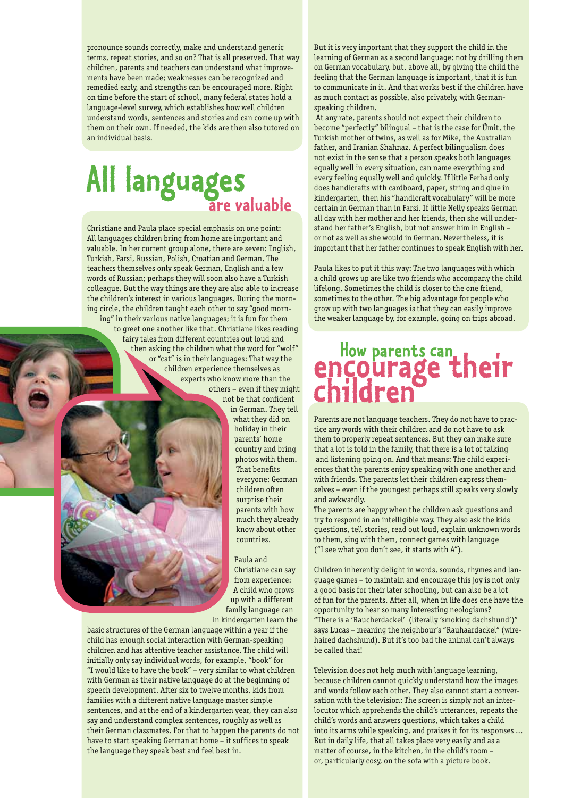pronounce sounds correctly, make and understand generic terms, repeat stories, and so on? That is all preserved. That way children, parents and teachers can understand what improvements have been made; weaknesses can be recognized and remedied early, and strengths can be encouraged more. Right on time before the start of school, many federal states hold a language-level survey, which establishes how well children understand words, sentences and stories and can come up with them on their own. If needed, the kids are then also tutored on an individual basis.

#### **All languages are valuable**

Christiane and Paula place special emphasis on one point: All languages children bring from home are important and valuable. In her current group alone, there are seven: English, Turkish, Farsi, Russian, Polish, Croatian and German. The teachers themselves only speak German, English and a few words of Russian; perhaps they will soon also have a Turkish colleague. But the way things are they are also able to increase the children's interest in various languages. During the morning circle, the children taught each other to say "good morning" in their various native languages; it is fun for them

to greet one another like that. Christiane likes reading fairy tales from different countries out loud and then asking the children what the word for "wolf " or "cat" is in their languages: That way the children experience themselves as experts who know more than the others – even if they might

not be that confident in German. They tell



what they did on holiday in their parents' home country and bring photos with them. **That benefits** everyone: German children often surprise their parents with how much they already know about other countries.

Paula and Christiane can say from experience: A child who grows up with a different family language can in kindergarten learn the

basic structures of the German language within a year if the child has enough social interaction with German-speaking children and has attentive teacher assistance. The child will initially only say individual words, for example, "book" for "I would like to have the book" – very similar to what children with German as their native language do at the beginning of speech development. After six to twelve months, kids from families with a different native language master simple sentences, and at the end of a kindergarten year, they can also say and understand complex sentences, roughly as well as their German classmates. For that to happen the parents do not have to start speaking German at home – it suffices to speak the language they speak best and feel best in.

But it is very important that they support the child in the learning of German as a second language: not by drilling them on German vocabulary, but, above all, by giving the child the feeling that the German language is important, that it is fun to communicate in it. And that works best if the children have as much contact as possible, also privately, with Germanspeaking children.

 At any rate, parents should not expect their children to become "perfectly" bilingual – that is the case for Ümit, the Turkish mother of twins, as well as for Mike, the Australian father, and Iranian Shahnaz. A perfect bilingualism does not exist in the sense that a person speaks both languages equally well in every situation, can name everything and every feeling equally well and quickly. If little Ferhad only does handicrafts with cardboard, paper, string and glue in kindergarten, then his "handicraft vocabulary" will be more certain in German than in Farsi. If little Nelly speaks German all day with her mother and her friends, then she will understand her father's English, but not answer him in English – or not as well as she would in German. Nevertheless, it is important that her father continues to speak English with her.

Paula likes to put it this way: The two languages with which a child grows up are like two friends who accompany the child lifelong. Sometimes the child is closer to the one friend, sometimes to the other. The big advantage for people who grow up with two languages is that they can easily improve the weaker language by, for example, going on trips abroad.

# How parents can<br> **encourage their**<br> **children**

Parents are not language teachers. They do not have to practice any words with their children and do not have to ask them to properly repeat sentences. But they can make sure that a lot is told in the family, that there is a lot of talking and listening going on. And that means: The child experiences that the parents enjoy speaking with one another and with friends. The parents let their children express themselves – even if the youngest perhaps still speaks very slowly and awkwardly.

The parents are happy when the children ask questions and try to respond in an intelligible way. They also ask the kids questions, tell stories, read out loud, explain unknown words to them, sing with them, connect games with language ("I see what you don't see, it starts with A").

Children inherently delight in words, sounds, rhymes and language games – to maintain and encourage this joy is not only a good basis for their later schooling, but can also be a lot of fun for the parents. After all, when in life does one have the opportunity to hear so many interesting neologisms? "There is a 'Raucherdackel' (literally 'smoking dachshund')" says Lucas – meaning the neighbour's "Rauhaardackel" (wirehaired dachshund). But it's too bad the animal can't always be called that!

Television does not help much with language learning, because children cannot quickly understand how the images and words follow each other. They also cannot start a conversation with the television: The screen is simply not an interlocutor which apprehends the child's utterances, repeats the child's words and answers questions, which takes a child into its arms while speaking, and praises it for its responses … But in daily life, that all takes place very easily and as a matter of course, in the kitchen, in the child's room – or, particularly cosy, on the sofa with a picture book.